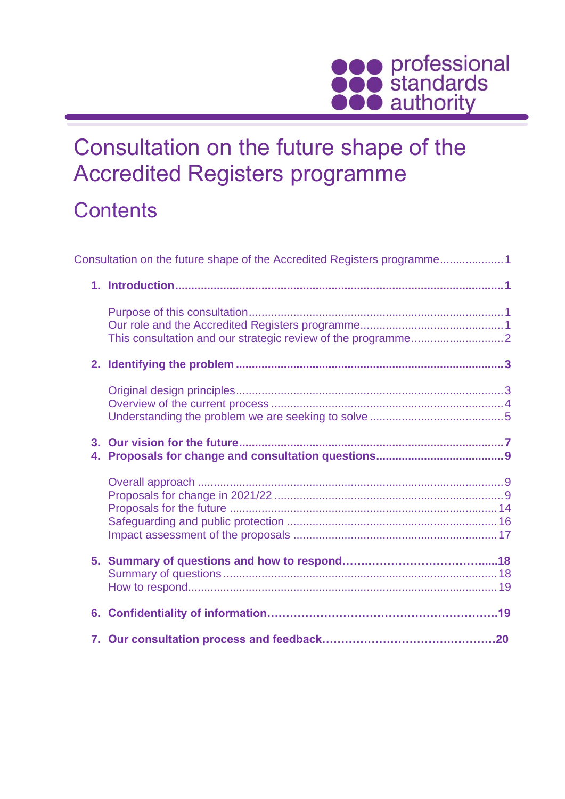

# Consultation on the future shape of the Accredited Registers programme

# **Contents**

| Consultation on the future shape of the Accredited Registers programme1 |  |
|-------------------------------------------------------------------------|--|
|                                                                         |  |
|                                                                         |  |
|                                                                         |  |
|                                                                         |  |
|                                                                         |  |
|                                                                         |  |
|                                                                         |  |
|                                                                         |  |
|                                                                         |  |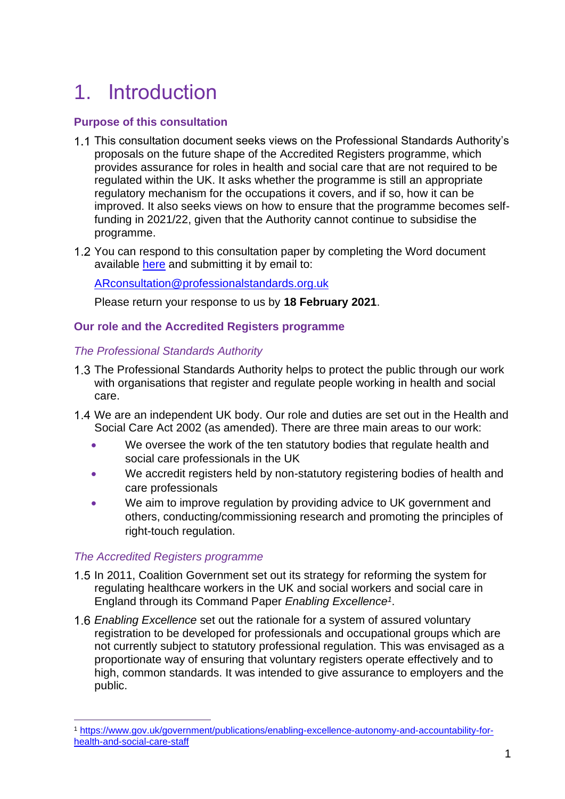# 1. Introduction

# **Purpose of this consultation**

- This consultation document seeks views on the Professional Standards Authority's proposals on the future shape of the Accredited Registers programme, which provides assurance for roles in health and social care that are not required to be regulated within the UK. It asks whether the programme is still an appropriate regulatory mechanism for the occupations it covers, and if so, how it can be improved. It also seeks views on how to ensure that the programme becomes selffunding in 2021/22, given that the Authority cannot continue to subsidise the programme.
- 1.2 You can respond to this consultation paper by completing the Word document available [here](https://www.professionalstandards.org.uk/docs/default-source/publications/consultation-response/our-consultation/2020-accredited-registers-consultation/consultation-on-the-future-shape-of-ar-programme-question-and-answersheet.docx?sfvrsn=4c067620_3) and submitting it by email to:

[ARconsultation@professionalstandards.org.uk](mailto:ARconsultation@professionalstandards.org.uk)

Please return your response to us by **18 February 2021**.

# **Our role and the Accredited Registers programme**

### *The Professional Standards Authority*

- 1.3 The Professional Standards Authority helps to protect the public through our work with organisations that register and regulate people working in health and social care.
- We are an independent UK body. Our role and duties are set out in the Health and Social Care Act 2002 (as amended). There are three main areas to our work:
	- We oversee the work of the ten statutory bodies that regulate health and social care professionals in the UK
	- We accredit registers held by non-statutory registering bodies of health and care professionals
	- We aim to improve regulation by providing advice to UK government and others, conducting/commissioning research and promoting the principles of right-touch regulation.

# *The Accredited Registers programme*

- 1.5 In 2011, Coalition Government set out its strategy for reforming the system for regulating healthcare workers in the UK and social workers and social care in England through its Command Paper *Enabling Excellence<sup>1</sup>* .
- *Enabling Excellence* set out the rationale for a system of assured voluntary registration to be developed for professionals and occupational groups which are not currently subject to statutory professional regulation. This was envisaged as a proportionate way of ensuring that voluntary registers operate effectively and to high, common standards. It was intended to give assurance to employers and the public.

<sup>1</sup> [https://www.gov.uk/government/publications/enabling-excellence-autonomy-and-accountability-for](https://www.gov.uk/government/publications/enabling-excellence-autonomy-and-accountability-for-health-and-social-care-staff)[health-and-social-care-staff](https://www.gov.uk/government/publications/enabling-excellence-autonomy-and-accountability-for-health-and-social-care-staff)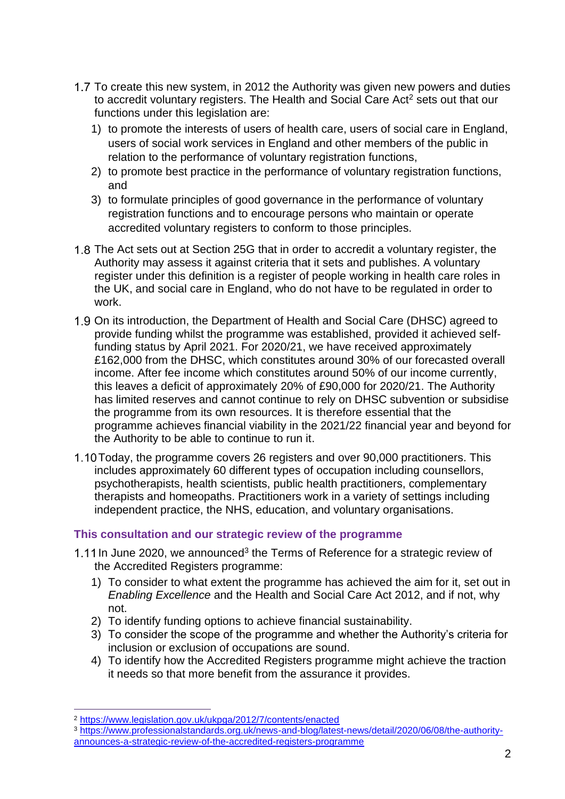- 1.7 To create this new system, in 2012 the Authority was given new powers and duties to accredit voluntary registers. The Health and Social Care Act<sup>2</sup> sets out that our functions under this legislation are:
	- 1) to promote the interests of users of health care, users of social care in England, users of social work services in England and other members of the public in relation to the performance of voluntary registration functions,
	- 2) to promote best practice in the performance of voluntary registration functions, and
	- 3) to formulate principles of good governance in the performance of voluntary registration functions and to encourage persons who maintain or operate accredited voluntary registers to conform to those principles.
- 1.8 The Act sets out at Section 25G that in order to accredit a voluntary register, the Authority may assess it against criteria that it sets and publishes. A voluntary register under this definition is a register of people working in health care roles in the UK, and social care in England, who do not have to be regulated in order to work.
- 1.9 On its introduction, the Department of Health and Social Care (DHSC) agreed to provide funding whilst the programme was established, provided it achieved selffunding status by April 2021. For 2020/21, we have received approximately £162,000 from the DHSC, which constitutes around 30% of our forecasted overall income. After fee income which constitutes around 50% of our income currently, this leaves a deficit of approximately 20% of £90,000 for 2020/21. The Authority has limited reserves and cannot continue to rely on DHSC subvention or subsidise the programme from its own resources. It is therefore essential that the programme achieves financial viability in the 2021/22 financial year and beyond for the Authority to be able to continue to run it.
- 1.10 Today, the programme covers 26 registers and over 90,000 practitioners. This includes approximately 60 different types of occupation including counsellors, psychotherapists, health scientists, public health practitioners, complementary therapists and homeopaths. Practitioners work in a variety of settings including independent practice, the NHS, education, and voluntary organisations.

# **This consultation and our strategic review of the programme**

- In June 2020, we announced<sup>3</sup> the Terms of Reference for a strategic review of the Accredited Registers programme:
	- 1) To consider to what extent the programme has achieved the aim for it, set out in *Enabling Excellence* and the Health and Social Care Act 2012, and if not, why not.
	- 2) To identify funding options to achieve financial sustainability.
	- 3) To consider the scope of the programme and whether the Authority's criteria for inclusion or exclusion of occupations are sound.
	- 4) To identify how the Accredited Registers programme might achieve the traction it needs so that more benefit from the assurance it provides.

<sup>2</sup> <https://www.legislation.gov.uk/ukpga/2012/7/contents/enacted>

<sup>3</sup> [https://www.professionalstandards.org.uk/news-and-blog/latest-news/detail/2020/06/08/the-authority](https://www.professionalstandards.org.uk/news-and-blog/latest-news/detail/2020/06/08/the-authority-announces-a-strategic-review-of-the-accredited-registers-programme)[announces-a-strategic-review-of-the-accredited-registers-programme](https://www.professionalstandards.org.uk/news-and-blog/latest-news/detail/2020/06/08/the-authority-announces-a-strategic-review-of-the-accredited-registers-programme)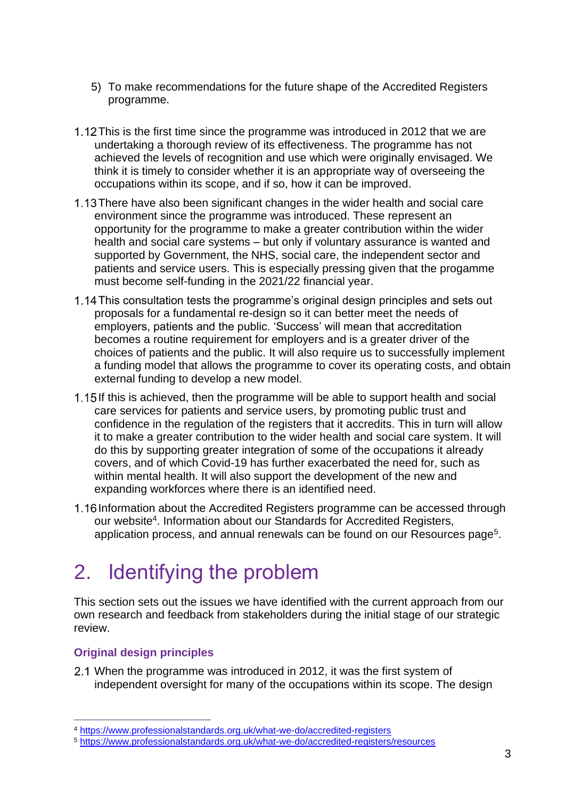- 5) To make recommendations for the future shape of the Accredited Registers programme.
- 1.12 This is the first time since the programme was introduced in 2012 that we are undertaking a thorough review of its effectiveness. The programme has not achieved the levels of recognition and use which were originally envisaged. We think it is timely to consider whether it is an appropriate way of overseeing the occupations within its scope, and if so, how it can be improved.
- 1.13 There have also been significant changes in the wider health and social care environment since the programme was introduced. These represent an opportunity for the programme to make a greater contribution within the wider health and social care systems – but only if voluntary assurance is wanted and supported by Government, the NHS, social care, the independent sector and patients and service users. This is especially pressing given that the progamme must become self-funding in the 2021/22 financial year.
- 1.14 This consultation tests the programme's original design principles and sets out proposals for a fundamental re-design so it can better meet the needs of employers, patients and the public. 'Success' will mean that accreditation becomes a routine requirement for employers and is a greater driver of the choices of patients and the public. It will also require us to successfully implement a funding model that allows the programme to cover its operating costs, and obtain external funding to develop a new model.
- 1.15 If this is achieved, then the programme will be able to support health and social care services for patients and service users, by promoting public trust and confidence in the regulation of the registers that it accredits. This in turn will allow it to make a greater contribution to the wider health and social care system. It will do this by supporting greater integration of some of the occupations it already covers, and of which Covid-19 has further exacerbated the need for, such as within mental health. It will also support the development of the new and expanding workforces where there is an identified need.
- 1.16 Information about the Accredited Registers programme can be accessed through our website<sup>4</sup>. Information about our Standards for Accredited Registers, application process, and annual renewals can be found on our Resources page<sup>5</sup>.

# 2. Identifying the problem

This section sets out the issues we have identified with the current approach from our own research and feedback from stakeholders during the initial stage of our strategic review.

# **Original design principles**

When the programme was introduced in 2012, it was the first system of independent oversight for many of the occupations within its scope. The design

<sup>4</sup> <https://www.professionalstandards.org.uk/what-we-do/accredited-registers>

<sup>5</sup> <https://www.professionalstandards.org.uk/what-we-do/accredited-registers/resources>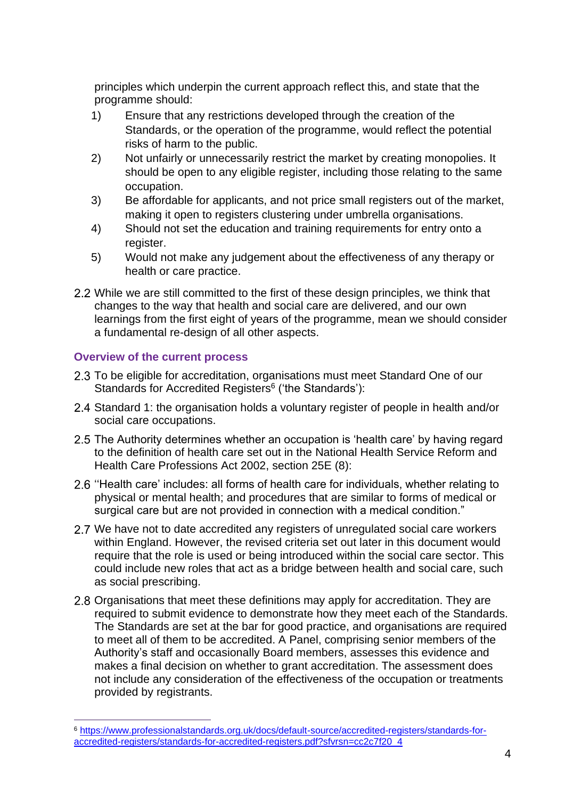principles which underpin the current approach reflect this, and state that the programme should:

- 1) Ensure that any restrictions developed through the creation of the Standards, or the operation of the programme, would reflect the potential risks of harm to the public.
- 2) Not unfairly or unnecessarily restrict the market by creating monopolies. It should be open to any eligible register, including those relating to the same occupation.
- 3) Be affordable for applicants, and not price small registers out of the market, making it open to registers clustering under umbrella organisations.
- 4) Should not set the education and training requirements for entry onto a register.
- 5) Would not make any judgement about the effectiveness of any therapy or health or care practice.
- While we are still committed to the first of these design principles, we think that changes to the way that health and social care are delivered, and our own learnings from the first eight of years of the programme, mean we should consider a fundamental re-design of all other aspects.

# **Overview of the current process**

- 2.3 To be eligible for accreditation, organisations must meet Standard One of our Standards for Accredited Registers<sup>6</sup> ('the Standards'):
- 2.4 Standard 1: the organisation holds a voluntary register of people in health and/or social care occupations.
- 2.5 The Authority determines whether an occupation is 'health care' by having regard to the definition of health care set out in the National Health Service Reform and Health Care Professions Act 2002, section 25E (8):
- 2.6 "Health care' includes: all forms of health care for individuals, whether relating to physical or mental health; and procedures that are similar to forms of medical or surgical care but are not provided in connection with a medical condition."
- 2.7 We have not to date accredited any registers of unregulated social care workers within England. However, the revised criteria set out later in this document would require that the role is used or being introduced within the social care sector. This could include new roles that act as a bridge between health and social care, such as social prescribing.
- 2.8 Organisations that meet these definitions may apply for accreditation. They are required to submit evidence to demonstrate how they meet each of the Standards. The Standards are set at the bar for good practice, and organisations are required to meet all of them to be accredited. A Panel, comprising senior members of the Authority's staff and occasionally Board members, assesses this evidence and makes a final decision on whether to grant accreditation. The assessment does not include any consideration of the effectiveness of the occupation or treatments provided by registrants.

<sup>6</sup> [https://www.professionalstandards.org.uk/docs/default-source/accredited-registers/standards-for](https://www.professionalstandards.org.uk/docs/default-source/accredited-registers/standards-for-accredited-registers/standards-for-accredited-registers.pdf?sfvrsn=cc2c7f20_4)[accredited-registers/standards-for-accredited-registers.pdf?sfvrsn=cc2c7f20\\_4](https://www.professionalstandards.org.uk/docs/default-source/accredited-registers/standards-for-accredited-registers/standards-for-accredited-registers.pdf?sfvrsn=cc2c7f20_4)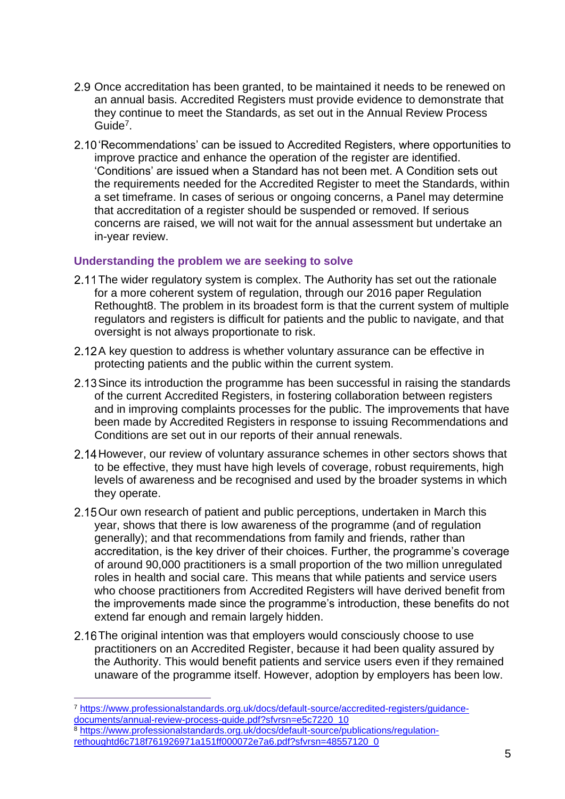- 2.9 Once accreditation has been granted, to be maintained it needs to be renewed on an annual basis. Accredited Registers must provide evidence to demonstrate that they continue to meet the Standards, as set out in the Annual Review Process Guide<sup>7</sup>.
- 2.10 Recommendations' can be issued to Accredited Registers, where opportunities to improve practice and enhance the operation of the register are identified. 'Conditions' are issued when a Standard has not been met. A Condition sets out the requirements needed for the Accredited Register to meet the Standards, within a set timeframe. In cases of serious or ongoing concerns, a Panel may determine that accreditation of a register should be suspended or removed. If serious concerns are raised, we will not wait for the annual assessment but undertake an in-year review.

### **Understanding the problem we are seeking to solve**

- 2.11 The wider regulatory system is complex. The Authority has set out the rationale for a more coherent system of regulation, through our 2016 paper Regulation Rethought8. The problem in its broadest form is that the current system of multiple regulators and registers is difficult for patients and the public to navigate, and that oversight is not always proportionate to risk.
- 2.12 A key question to address is whether voluntary assurance can be effective in protecting patients and the public within the current system.
- 2.13 Since its introduction the programme has been successful in raising the standards of the current Accredited Registers, in fostering collaboration between registers and in improving complaints processes for the public. The improvements that have been made by Accredited Registers in response to issuing Recommendations and Conditions are set out in our reports of their annual renewals.
- 2.14 However, our review of voluntary assurance schemes in other sectors shows that to be effective, they must have high levels of coverage, robust requirements, high levels of awareness and be recognised and used by the broader systems in which they operate.
- 2.15 Our own research of patient and public perceptions, undertaken in March this year, shows that there is low awareness of the programme (and of regulation generally); and that recommendations from family and friends, rather than accreditation, is the key driver of their choices. Further, the programme's coverage of around 90,000 practitioners is a small proportion of the two million unregulated roles in health and social care. This means that while patients and service users who choose practitioners from Accredited Registers will have derived benefit from the improvements made since the programme's introduction, these benefits do not extend far enough and remain largely hidden.
- 2.16 The original intention was that employers would consciously choose to use practitioners on an Accredited Register, because it had been quality assured by the Authority. This would benefit patients and service users even if they remained unaware of the programme itself. However, adoption by employers has been low.

<sup>7</sup> [https://www.professionalstandards.org.uk/docs/default-source/accredited-registers/guidance](https://www.professionalstandards.org.uk/docs/default-source/accredited-registers/guidance-documents/annual-review-process-guide.pdf?sfvrsn=e5c7220_10)[documents/annual-review-process-guide.pdf?sfvrsn=e5c7220\\_10](https://www.professionalstandards.org.uk/docs/default-source/accredited-registers/guidance-documents/annual-review-process-guide.pdf?sfvrsn=e5c7220_10)

<sup>8</sup> [https://www.professionalstandards.org.uk/docs/default-source/publications/regulation](https://www.professionalstandards.org.uk/docs/default-source/publications/regulation-rethoughtd6c718f761926971a151ff000072e7a6.pdf?sfvrsn=48557120_0)[rethoughtd6c718f761926971a151ff000072e7a6.pdf?sfvrsn=48557120\\_0](https://www.professionalstandards.org.uk/docs/default-source/publications/regulation-rethoughtd6c718f761926971a151ff000072e7a6.pdf?sfvrsn=48557120_0)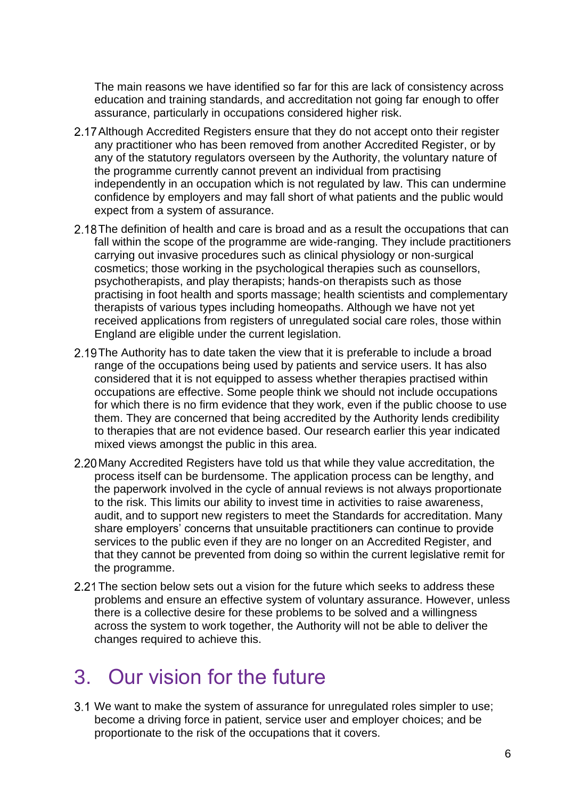The main reasons we have identified so far for this are lack of consistency across education and training standards, and accreditation not going far enough to offer assurance, particularly in occupations considered higher risk.

- 2.17 Although Accredited Registers ensure that they do not accept onto their register any practitioner who has been removed from another Accredited Register, or by any of the statutory regulators overseen by the Authority, the voluntary nature of the programme currently cannot prevent an individual from practising independently in an occupation which is not regulated by law. This can undermine confidence by employers and may fall short of what patients and the public would expect from a system of assurance.
- 2.18 The definition of health and care is broad and as a result the occupations that can fall within the scope of the programme are wide-ranging. They include practitioners carrying out invasive procedures such as clinical physiology or non-surgical cosmetics; those working in the psychological therapies such as counsellors, psychotherapists, and play therapists; hands-on therapists such as those practising in foot health and sports massage; health scientists and complementary therapists of various types including homeopaths. Although we have not yet received applications from registers of unregulated social care roles, those within England are eligible under the current legislation.
- 2.19 The Authority has to date taken the view that it is preferable to include a broad range of the occupations being used by patients and service users. It has also considered that it is not equipped to assess whether therapies practised within occupations are effective. Some people think we should not include occupations for which there is no firm evidence that they work, even if the public choose to use them. They are concerned that being accredited by the Authority lends credibility to therapies that are not evidence based. Our research earlier this year indicated mixed views amongst the public in this area.
- 2.20 Many Accredited Registers have told us that while they value accreditation, the process itself can be burdensome. The application process can be lengthy, and the paperwork involved in the cycle of annual reviews is not always proportionate to the risk. This limits our ability to invest time in activities to raise awareness, audit, and to support new registers to meet the Standards for accreditation. Many share employers' concerns that unsuitable practitioners can continue to provide services to the public even if they are no longer on an Accredited Register, and that they cannot be prevented from doing so within the current legislative remit for the programme.
- 2.21 The section below sets out a vision for the future which seeks to address these problems and ensure an effective system of voluntary assurance. However, unless there is a collective desire for these problems to be solved and a willingness across the system to work together, the Authority will not be able to deliver the changes required to achieve this.

# 3. Our vision for the future

3.1 We want to make the system of assurance for unregulated roles simpler to use; become a driving force in patient, service user and employer choices; and be proportionate to the risk of the occupations that it covers.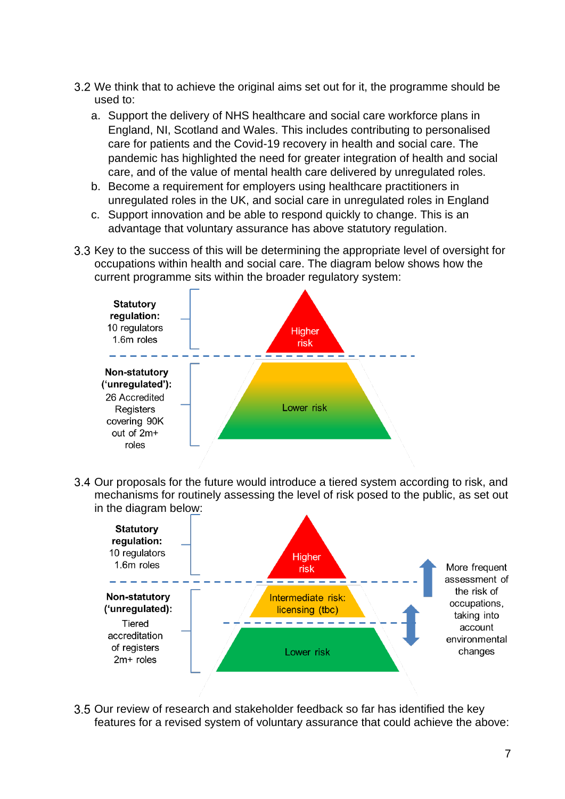- 3.2 We think that to achieve the original aims set out for it, the programme should be used to:
	- a. Support the delivery of NHS healthcare and social care workforce plans in England, NI, Scotland and Wales. This includes contributing to personalised care for patients and the Covid-19 recovery in health and social care. The pandemic has highlighted the need for greater integration of health and social care, and of the value of mental health care delivered by unregulated roles.
	- b. Become a requirement for employers using healthcare practitioners in unregulated roles in the UK, and social care in unregulated roles in England
	- c. Support innovation and be able to respond quickly to change. This is an advantage that voluntary assurance has above statutory regulation.
- 3.3 Key to the success of this will be determining the appropriate level of oversight for occupations within health and social care. The diagram below shows how the current programme sits within the broader regulatory system:



3.4 Our proposals for the future would introduce a tiered system according to risk, and mechanisms for routinely assessing the level of risk posed to the public, as set out in the diagram below:



3.5 Our review of research and stakeholder feedback so far has identified the key features for a revised system of voluntary assurance that could achieve the above: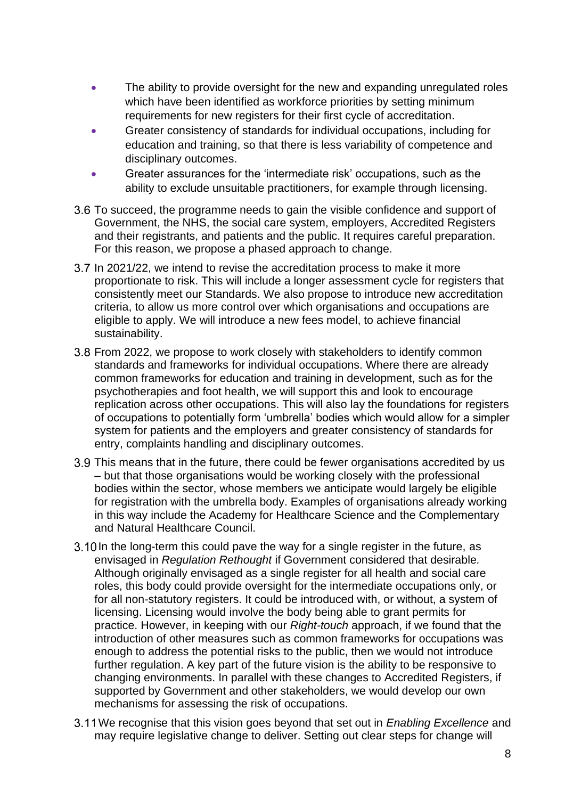- The ability to provide oversight for the new and expanding unregulated roles which have been identified as workforce priorities by setting minimum requirements for new registers for their first cycle of accreditation.
- Greater consistency of standards for individual occupations, including for education and training, so that there is less variability of competence and disciplinary outcomes.
- Greater assurances for the 'intermediate risk' occupations, such as the ability to exclude unsuitable practitioners, for example through licensing.
- 3.6 To succeed, the programme needs to gain the visible confidence and support of Government, the NHS, the social care system, employers, Accredited Registers and their registrants, and patients and the public. It requires careful preparation. For this reason, we propose a phased approach to change.
- 3.7 In 2021/22, we intend to revise the accreditation process to make it more proportionate to risk. This will include a longer assessment cycle for registers that consistently meet our Standards. We also propose to introduce new accreditation criteria, to allow us more control over which organisations and occupations are eligible to apply. We will introduce a new fees model, to achieve financial sustainability.
- 3.8 From 2022, we propose to work closely with stakeholders to identify common standards and frameworks for individual occupations. Where there are already common frameworks for education and training in development, such as for the psychotherapies and foot health, we will support this and look to encourage replication across other occupations. This will also lay the foundations for registers of occupations to potentially form 'umbrella' bodies which would allow for a simpler system for patients and the employers and greater consistency of standards for entry, complaints handling and disciplinary outcomes.
- 3.9 This means that in the future, there could be fewer organisations accredited by us – but that those organisations would be working closely with the professional bodies within the sector, whose members we anticipate would largely be eligible for registration with the umbrella body. Examples of organisations already working in this way include the Academy for Healthcare Science and the Complementary and Natural Healthcare Council.
- 3.10 In the long-term this could pave the way for a single register in the future, as envisaged in *Regulation Rethought* if Government considered that desirable*.*  Although originally envisaged as a single register for all health and social care roles, this body could provide oversight for the intermediate occupations only, or for all non-statutory registers. It could be introduced with, or without, a system of licensing. Licensing would involve the body being able to grant permits for practice. However, in keeping with our *Right-touch* approach, if we found that the introduction of other measures such as common frameworks for occupations was enough to address the potential risks to the public, then we would not introduce further regulation. A key part of the future vision is the ability to be responsive to changing environments. In parallel with these changes to Accredited Registers, if supported by Government and other stakeholders, we would develop our own mechanisms for assessing the risk of occupations.
- We recognise that this vision goes beyond that set out in *Enabling Excellence* and may require legislative change to deliver. Setting out clear steps for change will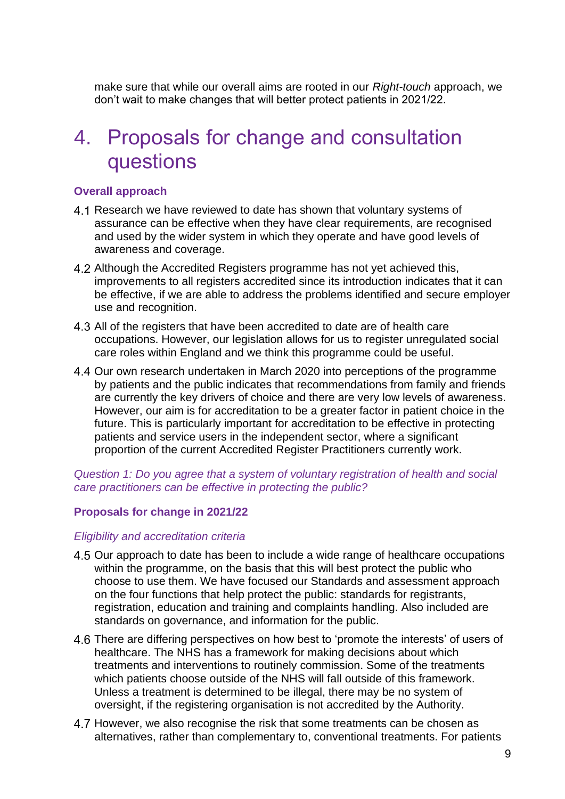make sure that while our overall aims are rooted in our *Right-touch* approach, we don't wait to make changes that will better protect patients in 2021/22.

# 4. Proposals for change and consultation questions

#### **Overall approach**

- 4.1 Research we have reviewed to date has shown that voluntary systems of assurance can be effective when they have clear requirements, are recognised and used by the wider system in which they operate and have good levels of awareness and coverage.
- Although the Accredited Registers programme has not yet achieved this, improvements to all registers accredited since its introduction indicates that it can be effective, if we are able to address the problems identified and secure employer use and recognition.
- All of the registers that have been accredited to date are of health care occupations. However, our legislation allows for us to register unregulated social care roles within England and we think this programme could be useful.
- 4.4 Our own research undertaken in March 2020 into perceptions of the programme by patients and the public indicates that recommendations from family and friends are currently the key drivers of choice and there are very low levels of awareness. However, our aim is for accreditation to be a greater factor in patient choice in the future. This is particularly important for accreditation to be effective in protecting patients and service users in the independent sector, where a significant proportion of the current Accredited Register Practitioners currently work.

*Question 1: Do you agree that a system of voluntary registration of health and social care practitioners can be effective in protecting the public?* 

#### **Proposals for change in 2021/22**

#### *Eligibility and accreditation criteria*

- 4.5 Our approach to date has been to include a wide range of healthcare occupations within the programme, on the basis that this will best protect the public who choose to use them. We have focused our Standards and assessment approach on the four functions that help protect the public: standards for registrants, registration, education and training and complaints handling. Also included are standards on governance, and information for the public.
- There are differing perspectives on how best to 'promote the interests' of users of healthcare. The NHS has a framework for making decisions about which treatments and interventions to routinely commission. Some of the treatments which patients choose outside of the NHS will fall outside of this framework. Unless a treatment is determined to be illegal, there may be no system of oversight, if the registering organisation is not accredited by the Authority.
- 4.7 However, we also recognise the risk that some treatments can be chosen as alternatives, rather than complementary to, conventional treatments. For patients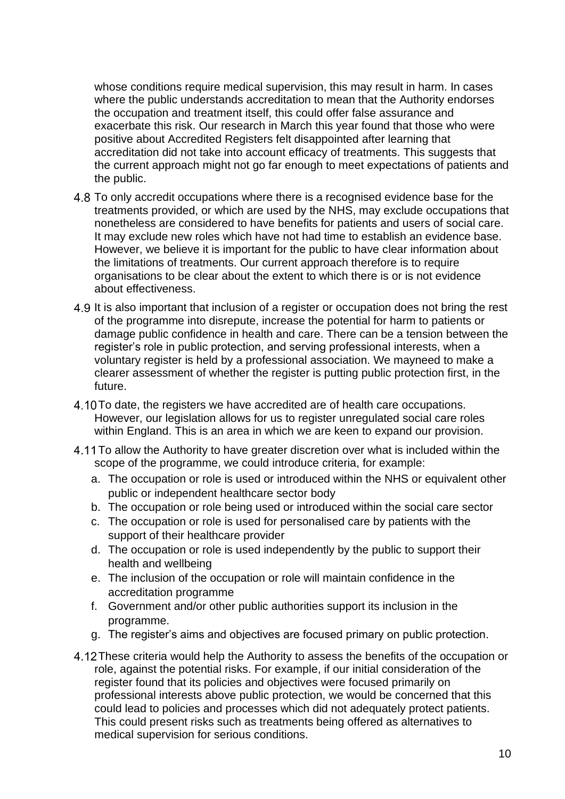whose conditions require medical supervision, this may result in harm. In cases where the public understands accreditation to mean that the Authority endorses the occupation and treatment itself, this could offer false assurance and exacerbate this risk. Our research in March this year found that those who were positive about Accredited Registers felt disappointed after learning that accreditation did not take into account efficacy of treatments. This suggests that the current approach might not go far enough to meet expectations of patients and the public.

- 4.8 To only accredit occupations where there is a recognised evidence base for the treatments provided, or which are used by the NHS, may exclude occupations that nonetheless are considered to have benefits for patients and users of social care. It may exclude new roles which have not had time to establish an evidence base. However, we believe it is important for the public to have clear information about the limitations of treatments. Our current approach therefore is to require organisations to be clear about the extent to which there is or is not evidence about effectiveness.
- 4.9 It is also important that inclusion of a register or occupation does not bring the rest of the programme into disrepute, increase the potential for harm to patients or damage public confidence in health and care. There can be a tension between the register's role in public protection, and serving professional interests, when a voluntary register is held by a professional association. We mayneed to make a clearer assessment of whether the register is putting public protection first, in the future.
- 4.10 To date, the registers we have accredited are of health care occupations. However, our legislation allows for us to register unregulated social care roles within England. This is an area in which we are keen to expand our provision.
- 4.11 To allow the Authority to have greater discretion over what is included within the scope of the programme, we could introduce criteria, for example:
	- a. The occupation or role is used or introduced within the NHS or equivalent other public or independent healthcare sector body
	- b. The occupation or role being used or introduced within the social care sector
	- c. The occupation or role is used for personalised care by patients with the support of their healthcare provider
	- d. The occupation or role is used independently by the public to support their health and wellbeing
	- e. The inclusion of the occupation or role will maintain confidence in the accreditation programme
	- f. Government and/or other public authorities support its inclusion in the programme.
	- g. The register's aims and objectives are focused primary on public protection.
- 4.12 These criteria would help the Authority to assess the benefits of the occupation or role, against the potential risks. For example, if our initial consideration of the register found that its policies and objectives were focused primarily on professional interests above public protection, we would be concerned that this could lead to policies and processes which did not adequately protect patients. This could present risks such as treatments being offered as alternatives to medical supervision for serious conditions.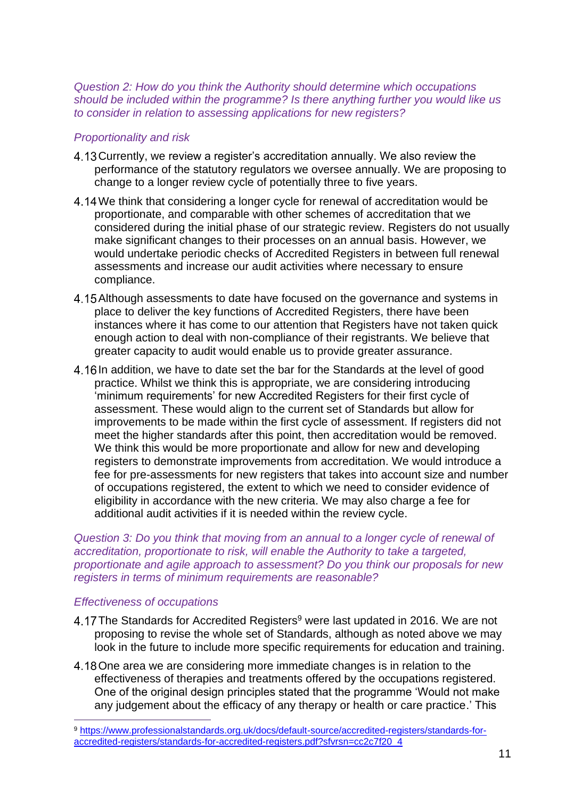*Question 2: How do you think the Authority should determine which occupations should be included within the programme? Is there anything further you would like us to consider in relation to assessing applications for new registers?*

#### *Proportionality and risk*

- 4.13 Currently, we review a register's accreditation annually. We also review the performance of the statutory regulators we oversee annually. We are proposing to change to a longer review cycle of potentially three to five years.
- 4.14 We think that considering a longer cycle for renewal of accreditation would be proportionate, and comparable with other schemes of accreditation that we considered during the initial phase of our strategic review. Registers do not usually make significant changes to their processes on an annual basis. However, we would undertake periodic checks of Accredited Registers in between full renewal assessments and increase our audit activities where necessary to ensure compliance.
- 4.15 Although assessments to date have focused on the governance and systems in place to deliver the key functions of Accredited Registers, there have been instances where it has come to our attention that Registers have not taken quick enough action to deal with non-compliance of their registrants. We believe that greater capacity to audit would enable us to provide greater assurance.
- 4.16 In addition, we have to date set the bar for the Standards at the level of good practice. Whilst we think this is appropriate, we are considering introducing 'minimum requirements' for new Accredited Registers for their first cycle of assessment. These would align to the current set of Standards but allow for improvements to be made within the first cycle of assessment. If registers did not meet the higher standards after this point, then accreditation would be removed. We think this would be more proportionate and allow for new and developing registers to demonstrate improvements from accreditation. We would introduce a fee for pre-assessments for new registers that takes into account size and number of occupations registered, the extent to which we need to consider evidence of eligibility in accordance with the new criteria. We may also charge a fee for additional audit activities if it is needed within the review cycle.

**Question 3: Do you think that moving from an annual to a longer cycle of renewal of** *accreditation, proportionate to risk, will enable the Authority to take a targeted, proportionate and agile approach to assessment? Do you think our proposals for new registers in terms of minimum requirements are reasonable?*

#### *Effectiveness of occupations*

- 4.17 The Standards for Accredited Registers<sup>9</sup> were last updated in 2016. We are not proposing to revise the whole set of Standards, although as noted above we may look in the future to include more specific requirements for education and training.
- 4.18 One area we are considering more immediate changes is in relation to the effectiveness of therapies and treatments offered by the occupations registered. One of the original design principles stated that the programme 'Would not make any judgement about the efficacy of any therapy or health or care practice.' This

<sup>9</sup> [https://www.professionalstandards.org.uk/docs/default-source/accredited-registers/standards-for](https://www.professionalstandards.org.uk/docs/default-source/accredited-registers/standards-for-accredited-registers/standards-for-accredited-registers.pdf?sfvrsn=cc2c7f20_4)[accredited-registers/standards-for-accredited-registers.pdf?sfvrsn=cc2c7f20\\_4](https://www.professionalstandards.org.uk/docs/default-source/accredited-registers/standards-for-accredited-registers/standards-for-accredited-registers.pdf?sfvrsn=cc2c7f20_4)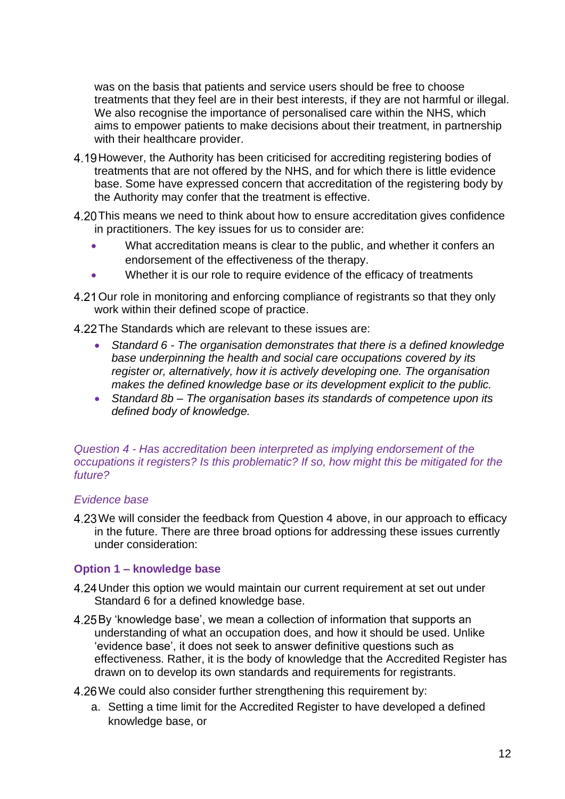was on the basis that patients and service users should be free to choose treatments that they feel are in their best interests, if they are not harmful or illegal. We also recognise the importance of personalised care within the NHS, which aims to empower patients to make decisions about their treatment, in partnership with their healthcare provider.

- 4.19 However, the Authority has been criticised for accrediting registering bodies of treatments that are not offered by the NHS, and for which there is little evidence base. Some have expressed concern that accreditation of the registering body by the Authority may confer that the treatment is effective.
- 4.20 This means we need to think about how to ensure accreditation gives confidence in practitioners. The key issues for us to consider are:
	- What accreditation means is clear to the public, and whether it confers an endorsement of the effectiveness of the therapy.
	- Whether it is our role to require evidence of the efficacy of treatments
- 4.21 Our role in monitoring and enforcing compliance of registrants so that they only work within their defined scope of practice.
- 4.22 The Standards which are relevant to these issues are:
	- *Standard 6 - The organisation demonstrates that there is a defined knowledge base underpinning the health and social care occupations covered by its register or, alternatively, how it is actively developing one. The organisation makes the defined knowledge base or its development explicit to the public.*
	- *Standard 8b – The organisation bases its standards of competence upon its defined body of knowledge.*

#### *Question 4 - Has accreditation been interpreted as implying endorsement of the occupations it registers? Is this problematic? If so, how might this be mitigated for the future?*

#### *Evidence base*

4.23 We will consider the feedback from Question 4 above, in our approach to efficacy in the future. There are three broad options for addressing these issues currently under consideration:

#### **Option 1 – knowledge base**

- 4.24 Under this option we would maintain our current requirement at set out under Standard 6 for a defined knowledge base.
- 4.25 By 'knowledge base', we mean a collection of information that supports an understanding of what an occupation does, and how it should be used. Unlike 'evidence base', it does not seek to answer definitive questions such as effectiveness. Rather, it is the body of knowledge that the Accredited Register has drawn on to develop its own standards and requirements for registrants.
- 4.26 We could also consider further strengthening this requirement by:
	- a. Setting a time limit for the Accredited Register to have developed a defined knowledge base, or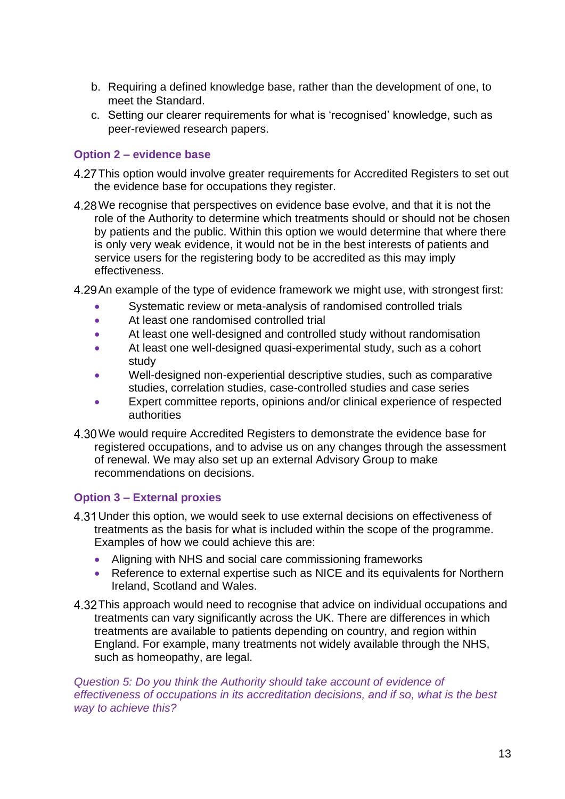- b. Requiring a defined knowledge base, rather than the development of one, to meet the Standard.
- c. Setting our clearer requirements for what is 'recognised' knowledge, such as peer-reviewed research papers.

### **Option 2 – evidence base**

- 4.27 This option would involve greater requirements for Accredited Registers to set out the evidence base for occupations they register.
- We recognise that perspectives on evidence base evolve, and that it is not the role of the Authority to determine which treatments should or should not be chosen by patients and the public. Within this option we would determine that where there is only very weak evidence, it would not be in the best interests of patients and service users for the registering body to be accredited as this may imply effectiveness.
- 4.29 An example of the type of evidence framework we might use, with strongest first:
	- Systematic review or meta-analysis of randomised controlled trials
	- At least one randomised controlled trial
	- At least one well-designed and controlled study without randomisation
	- At least one well-designed quasi-experimental study, such as a cohort study
	- Well-designed non-experiential descriptive studies, such as comparative studies, correlation studies, case-controlled studies and case series
	- Expert committee reports, opinions and/or clinical experience of respected authorities
- 4.30 We would require Accredited Registers to demonstrate the evidence base for registered occupations, and to advise us on any changes through the assessment of renewal. We may also set up an external Advisory Group to make recommendations on decisions.

# **Option 3 – External proxies**

- Under this option, we would seek to use external decisions on effectiveness of treatments as the basis for what is included within the scope of the programme. Examples of how we could achieve this are:
	- Aligning with NHS and social care commissioning frameworks
	- Reference to external expertise such as NICE and its equivalents for Northern Ireland, Scotland and Wales.
- This approach would need to recognise that advice on individual occupations and treatments can vary significantly across the UK. There are differences in which treatments are available to patients depending on country, and region within England. For example, many treatments not widely available through the NHS, such as homeopathy, are legal.

*Question 5: Do you think the Authority should take account of evidence of effectiveness of occupations in its accreditation decisions, and if so, what is the best way to achieve this?*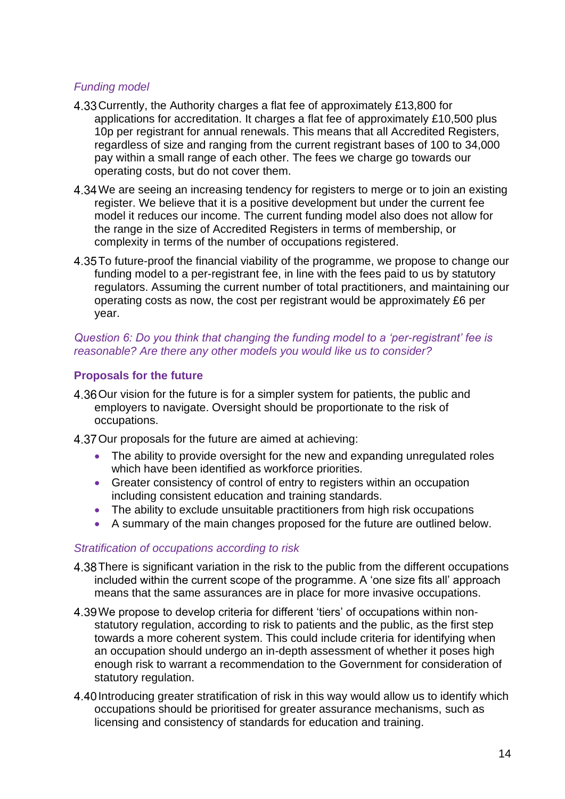# *Funding model*

- 4.33 Currently, the Authority charges a flat fee of approximately £13,800 for applications for accreditation. It charges a flat fee of approximately £10,500 plus 10p per registrant for annual renewals. This means that all Accredited Registers, regardless of size and ranging from the current registrant bases of 100 to 34,000 pay within a small range of each other. The fees we charge go towards our operating costs, but do not cover them.
- We are seeing an increasing tendency for registers to merge or to join an existing register. We believe that it is a positive development but under the current fee model it reduces our income. The current funding model also does not allow for the range in the size of Accredited Registers in terms of membership, or complexity in terms of the number of occupations registered.
- 4.35 To future-proof the financial viability of the programme, we propose to change our funding model to a per-registrant fee, in line with the fees paid to us by statutory regulators. Assuming the current number of total practitioners, and maintaining our operating costs as now, the cost per registrant would be approximately £6 per year.

#### *Question 6: Do you think that changing the funding model to a 'per-registrant' fee is reasonable? Are there any other models you would like us to consider?*

# **Proposals for the future**

- 4.36 Our vision for the future is for a simpler system for patients, the public and employers to navigate. Oversight should be proportionate to the risk of occupations.
- 4.37 Our proposals for the future are aimed at achieving:
	- The ability to provide oversight for the new and expanding unregulated roles which have been identified as workforce priorities.
	- Greater consistency of control of entry to registers within an occupation including consistent education and training standards.
	- The ability to exclude unsuitable practitioners from high risk occupations
	- A summary of the main changes proposed for the future are outlined below.

#### *Stratification of occupations according to risk*

- 4.38 There is significant variation in the risk to the public from the different occupations included within the current scope of the programme. A 'one size fits all' approach means that the same assurances are in place for more invasive occupations.
- We propose to develop criteria for different 'tiers' of occupations within nonstatutory regulation, according to risk to patients and the public, as the first step towards a more coherent system. This could include criteria for identifying when an occupation should undergo an in-depth assessment of whether it poses high enough risk to warrant a recommendation to the Government for consideration of statutory regulation.
- 4.40 Introducing greater stratification of risk in this way would allow us to identify which occupations should be prioritised for greater assurance mechanisms, such as licensing and consistency of standards for education and training.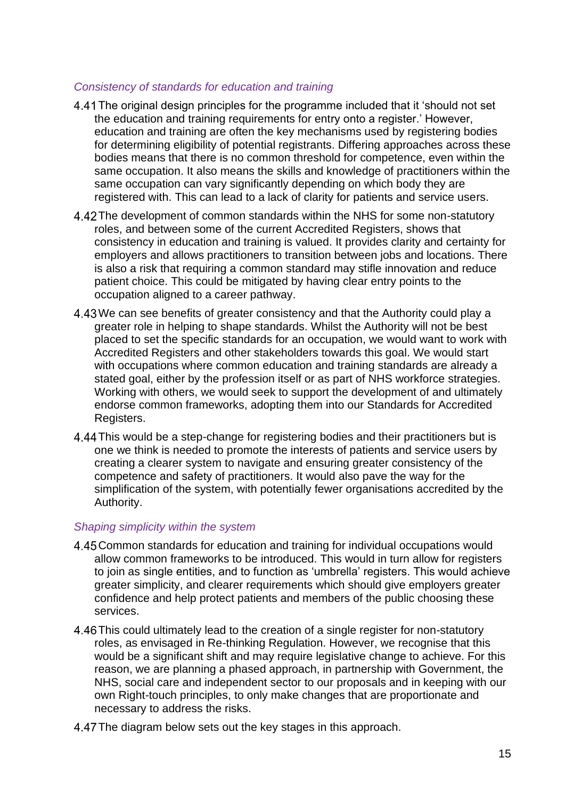### *Consistency of standards for education and training*

- The original design principles for the programme included that it 'should not set the education and training requirements for entry onto a register.' However, education and training are often the key mechanisms used by registering bodies for determining eligibility of potential registrants. Differing approaches across these bodies means that there is no common threshold for competence, even within the same occupation. It also means the skills and knowledge of practitioners within the same occupation can vary significantly depending on which body they are registered with. This can lead to a lack of clarity for patients and service users.
- 4.42 The development of common standards within the NHS for some non-statutory roles, and between some of the current Accredited Registers, shows that consistency in education and training is valued. It provides clarity and certainty for employers and allows practitioners to transition between jobs and locations. There is also a risk that requiring a common standard may stifle innovation and reduce patient choice. This could be mitigated by having clear entry points to the occupation aligned to a career pathway.
- We can see benefits of greater consistency and that the Authority could play a greater role in helping to shape standards. Whilst the Authority will not be best placed to set the specific standards for an occupation, we would want to work with Accredited Registers and other stakeholders towards this goal. We would start with occupations where common education and training standards are already a stated goal, either by the profession itself or as part of NHS workforce strategies. Working with others, we would seek to support the development of and ultimately endorse common frameworks, adopting them into our Standards for Accredited Registers.
- 4.44 This would be a step-change for registering bodies and their practitioners but is one we think is needed to promote the interests of patients and service users by creating a clearer system to navigate and ensuring greater consistency of the competence and safety of practitioners. It would also pave the way for the simplification of the system, with potentially fewer organisations accredited by the Authority.

#### *Shaping simplicity within the system*

- Common standards for education and training for individual occupations would allow common frameworks to be introduced. This would in turn allow for registers to join as single entities, and to function as 'umbrella' registers. This would achieve greater simplicity, and clearer requirements which should give employers greater confidence and help protect patients and members of the public choosing these services.
- 4.46 This could ultimately lead to the creation of a single register for non-statutory roles, as envisaged in Re-thinking Regulation. However, we recognise that this would be a significant shift and may require legislative change to achieve. For this reason, we are planning a phased approach, in partnership with Government, the NHS, social care and independent sector to our proposals and in keeping with our own Right-touch principles, to only make changes that are proportionate and necessary to address the risks.
- 4.47 The diagram below sets out the key stages in this approach.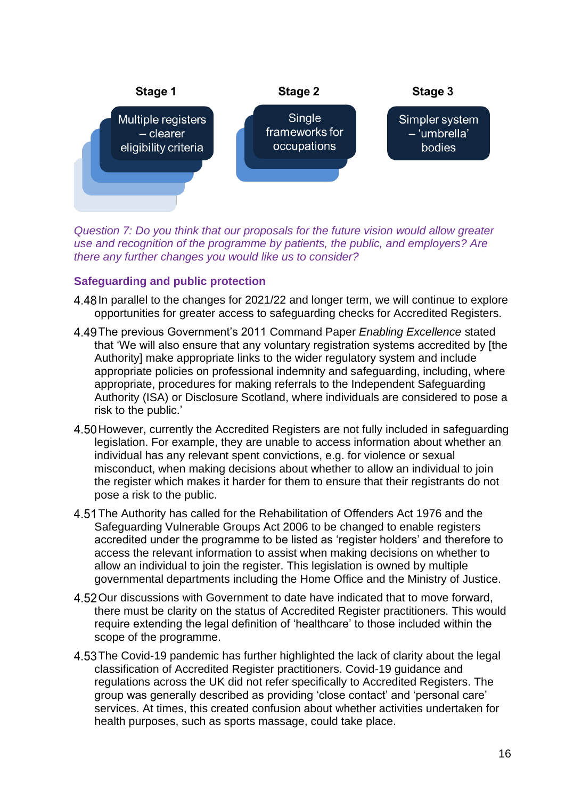

*Question 7: Do you think that our proposals for the future vision would allow greater use and recognition of the programme by patients, the public, and employers? Are there any further changes you would like us to consider?* 

### **Safeguarding and public protection**

- 4.48 In parallel to the changes for 2021/22 and longer term, we will continue to explore opportunities for greater access to safeguarding checks for Accredited Registers.
- The previous Government's 2011 Command Paper *Enabling Excellence* stated that 'We will also ensure that any voluntary registration systems accredited by [the Authority] make appropriate links to the wider regulatory system and include appropriate policies on professional indemnity and safeguarding, including, where appropriate, procedures for making referrals to the Independent Safeguarding Authority (ISA) or Disclosure Scotland, where individuals are considered to pose a risk to the public.'
- 4.50 However, currently the Accredited Registers are not fully included in safeguarding legislation. For example, they are unable to access information about whether an individual has any relevant spent convictions, e.g. for violence or sexual misconduct, when making decisions about whether to allow an individual to join the register which makes it harder for them to ensure that their registrants do not pose a risk to the public.
- 4.51 The Authority has called for the Rehabilitation of Offenders Act 1976 and the Safeguarding Vulnerable Groups Act 2006 to be changed to enable registers accredited under the programme to be listed as 'register holders' and therefore to access the relevant information to assist when making decisions on whether to allow an individual to join the register. This legislation is owned by multiple governmental departments including the Home Office and the Ministry of Justice.
- 4.52 Our discussions with Government to date have indicated that to move forward, there must be clarity on the status of Accredited Register practitioners. This would require extending the legal definition of 'healthcare' to those included within the scope of the programme.
- 4.53 The Covid-19 pandemic has further highlighted the lack of clarity about the legal classification of Accredited Register practitioners. Covid-19 guidance and regulations across the UK did not refer specifically to Accredited Registers. The group was generally described as providing 'close contact' and 'personal care' services. At times, this created confusion about whether activities undertaken for health purposes, such as sports massage, could take place.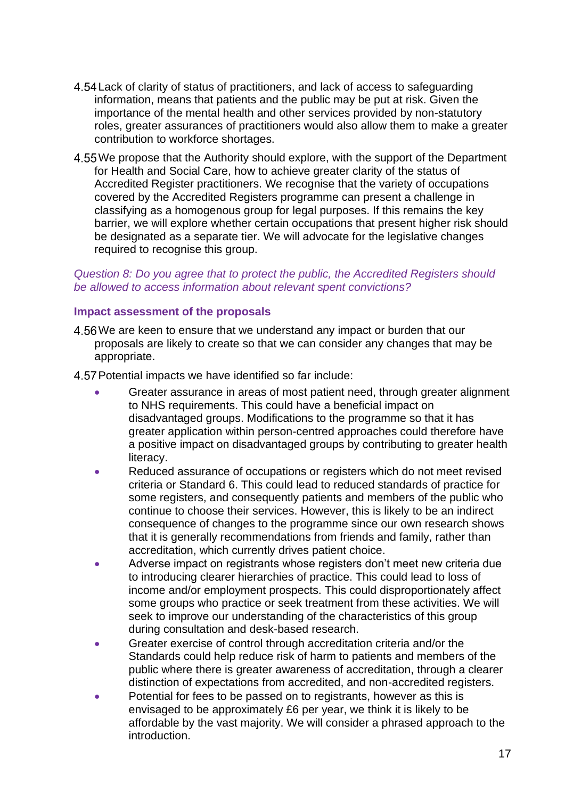- 4.54 Lack of clarity of status of practitioners, and lack of access to safeguarding information, means that patients and the public may be put at risk. Given the importance of the mental health and other services provided by non-statutory roles, greater assurances of practitioners would also allow them to make a greater contribution to workforce shortages.
- 4.55 We propose that the Authority should explore, with the support of the Department for Health and Social Care, how to achieve greater clarity of the status of Accredited Register practitioners. We recognise that the variety of occupations covered by the Accredited Registers programme can present a challenge in classifying as a homogenous group for legal purposes. If this remains the key barrier, we will explore whether certain occupations that present higher risk should be designated as a separate tier. We will advocate for the legislative changes required to recognise this group.

#### *Question 8: Do you agree that to protect the public, the Accredited Registers should be allowed to access information about relevant spent convictions?*

### **Impact assessment of the proposals**

- 4.56 We are keen to ensure that we understand any impact or burden that our proposals are likely to create so that we can consider any changes that may be appropriate.
- 4.57 Potential impacts we have identified so far include:
	- Greater assurance in areas of most patient need, through greater alignment to NHS requirements. This could have a beneficial impact on disadvantaged groups. Modifications to the programme so that it has greater application within person-centred approaches could therefore have a positive impact on disadvantaged groups by contributing to greater health literacy.
	- Reduced assurance of occupations or registers which do not meet revised criteria or Standard 6. This could lead to reduced standards of practice for some registers, and consequently patients and members of the public who continue to choose their services. However, this is likely to be an indirect consequence of changes to the programme since our own research shows that it is generally recommendations from friends and family, rather than accreditation, which currently drives patient choice.
	- Adverse impact on registrants whose registers don't meet new criteria due to introducing clearer hierarchies of practice. This could lead to loss of income and/or employment prospects. This could disproportionately affect some groups who practice or seek treatment from these activities. We will seek to improve our understanding of the characteristics of this group during consultation and desk-based research.
	- Greater exercise of control through accreditation criteria and/or the Standards could help reduce risk of harm to patients and members of the public where there is greater awareness of accreditation, through a clearer distinction of expectations from accredited, and non-accredited registers.
	- Potential for fees to be passed on to registrants, however as this is envisaged to be approximately £6 per year, we think it is likely to be affordable by the vast majority. We will consider a phrased approach to the introduction.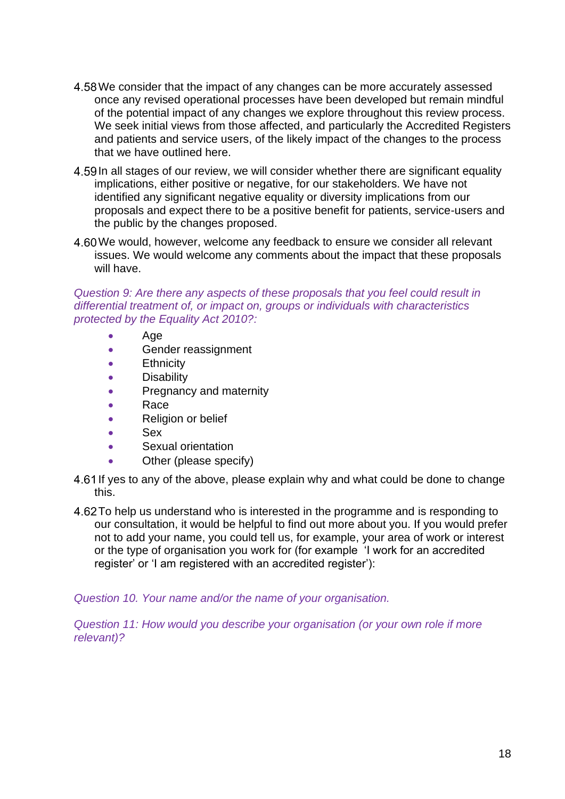- 4.58 We consider that the impact of any changes can be more accurately assessed once any revised operational processes have been developed but remain mindful of the potential impact of any changes we explore throughout this review process. We seek initial views from those affected, and particularly the Accredited Registers and patients and service users, of the likely impact of the changes to the process that we have outlined here.
- 4.59 In all stages of our review, we will consider whether there are significant equality implications, either positive or negative, for our stakeholders. We have not identified any significant negative equality or diversity implications from our proposals and expect there to be a positive benefit for patients, service-users and the public by the changes proposed.
- 4.60 We would, however, welcome any feedback to ensure we consider all relevant issues. We would welcome any comments about the impact that these proposals will have.

*Question 9: Are there any aspects of these proposals that you feel could result in differential treatment of, or impact on, groups or individuals with characteristics protected by the Equality Act 2010?:*

- Age
- Gender reassignment
- **Ethnicity**
- Disability
- Pregnancy and maternity
- Race
- Religion or belief
- Sex
- Sexual orientation
- Other (please specify)
- 4.61 If yes to any of the above, please explain why and what could be done to change this.
- 4.62 To help us understand who is interested in the programme and is responding to our consultation, it would be helpful to find out more about you. If you would prefer not to add your name, you could tell us, for example, your area of work or interest or the type of organisation you work for (for example 'I work for an accredited register' or 'I am registered with an accredited register'):

*Question 10. Your name and/or the name of your organisation.*

*Question 11: How would you describe your organisation (or your own role if more relevant)?*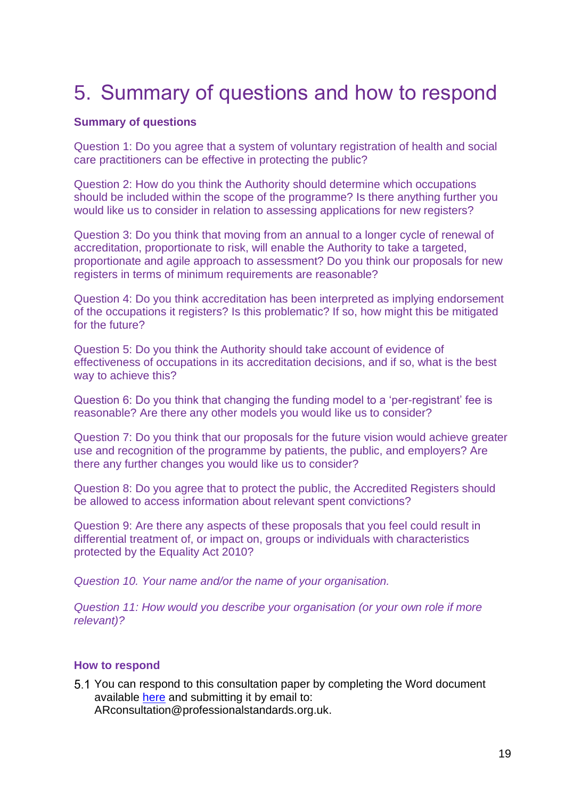# 5. Summary of questions and how to respond

#### **Summary of questions**

Question 1: Do you agree that a system of voluntary registration of health and social care practitioners can be effective in protecting the public?

Question 2: How do you think the Authority should determine which occupations should be included within the scope of the programme? Is there anything further you would like us to consider in relation to assessing applications for new registers?

Question 3: Do you think that moving from an annual to a longer cycle of renewal of accreditation, proportionate to risk, will enable the Authority to take a targeted, proportionate and agile approach to assessment? Do you think our proposals for new registers in terms of minimum requirements are reasonable?

Question 4: Do you think accreditation has been interpreted as implying endorsement of the occupations it registers? Is this problematic? If so, how might this be mitigated for the future?

Question 5: Do you think the Authority should take account of evidence of effectiveness of occupations in its accreditation decisions, and if so, what is the best way to achieve this?

Question 6: Do you think that changing the funding model to a 'per-registrant' fee is reasonable? Are there any other models you would like us to consider?

Question 7: Do you think that our proposals for the future vision would achieve greater use and recognition of the programme by patients, the public, and employers? Are there any further changes you would like us to consider?

Question 8: Do you agree that to protect the public, the Accredited Registers should be allowed to access information about relevant spent convictions?

Question 9: Are there any aspects of these proposals that you feel could result in differential treatment of, or impact on, groups or individuals with characteristics protected by the Equality Act 2010?

*Question 10. Your name and/or the name of your organisation.*

*Question 11: How would you describe your organisation (or your own role if more relevant)?*

#### **How to respond**

5.1 You can respond to this consultation paper by completing the Word document available [here](https://www.professionalstandards.org.uk/docs/default-source/publications/consultation-response/our-consultation/2020-accredited-registers-consultation/consultation-on-the-future-shape-of-ar-programme-question-and-answersheet.docx?sfvrsn=4c067620_3) and submitting it by email to:

ARconsultation@professionalstandards.org.uk.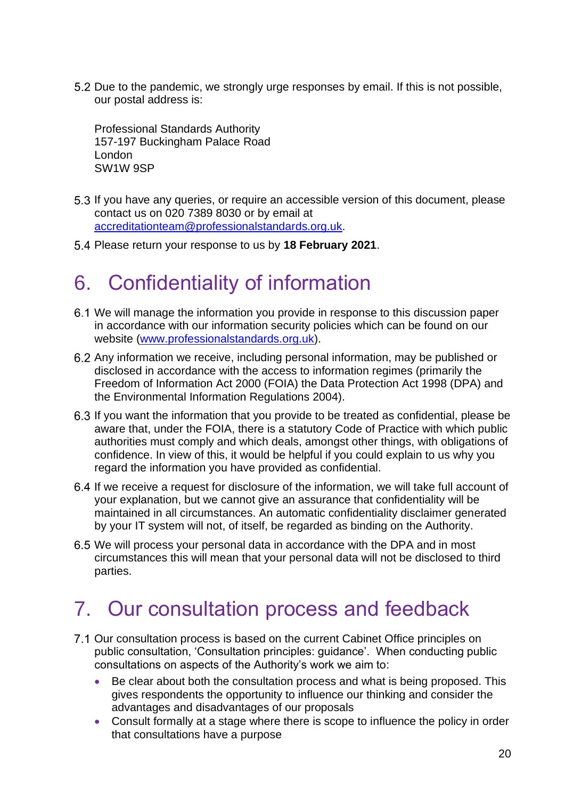5.2 Due to the pandemic, we strongly urge responses by email. If this is not possible, our postal address is:

Professional Standards Authority 157-197 Buckingham Palace Road London SW1W 9SP

- If you have any queries, or require an accessible version of this document, please contact us on 020 7389 8030 or by email at [accreditationteam@professionalstandards.org.uk.](mailto:accreditationteam@professionalstandards.org.uk)
- Please return your response to us by **18 February 2021**.

# 6. Confidentiality of information

- We will manage the information you provide in response to this discussion paper in accordance with our information security policies which can be found on our website [\(www.professionalstandards.org.uk\)](http://www.professionalstandards.org.uk/).
- 6.2 Any information we receive, including personal information, may be published or disclosed in accordance with the access to information regimes (primarily the Freedom of Information Act 2000 (FOIA) the Data Protection Act 1998 (DPA) and the Environmental Information Regulations 2004).
- 6.3 If you want the information that you provide to be treated as confidential, please be aware that, under the FOIA, there is a statutory Code of Practice with which public authorities must comply and which deals, amongst other things, with obligations of confidence. In view of this, it would be helpful if you could explain to us why you regard the information you have provided as confidential.
- 6.4 If we receive a request for disclosure of the information, we will take full account of your explanation, but we cannot give an assurance that confidentiality will be maintained in all circumstances. An automatic confidentiality disclaimer generated by your IT system will not, of itself, be regarded as binding on the Authority.
- We will process your personal data in accordance with the DPA and in most circumstances this will mean that your personal data will not be disclosed to third parties.

# 7. Our consultation process and feedback

- 7.1 Our consultation process is based on the current Cabinet Office principles on public consultation, 'Consultation principles: guidance'. When conducting public consultations on aspects of the Authority's work we aim to:
	- Be clear about both the consultation process and what is being proposed. This gives respondents the opportunity to influence our thinking and consider the advantages and disadvantages of our proposals
	- Consult formally at a stage where there is scope to influence the policy in order that consultations have a purpose